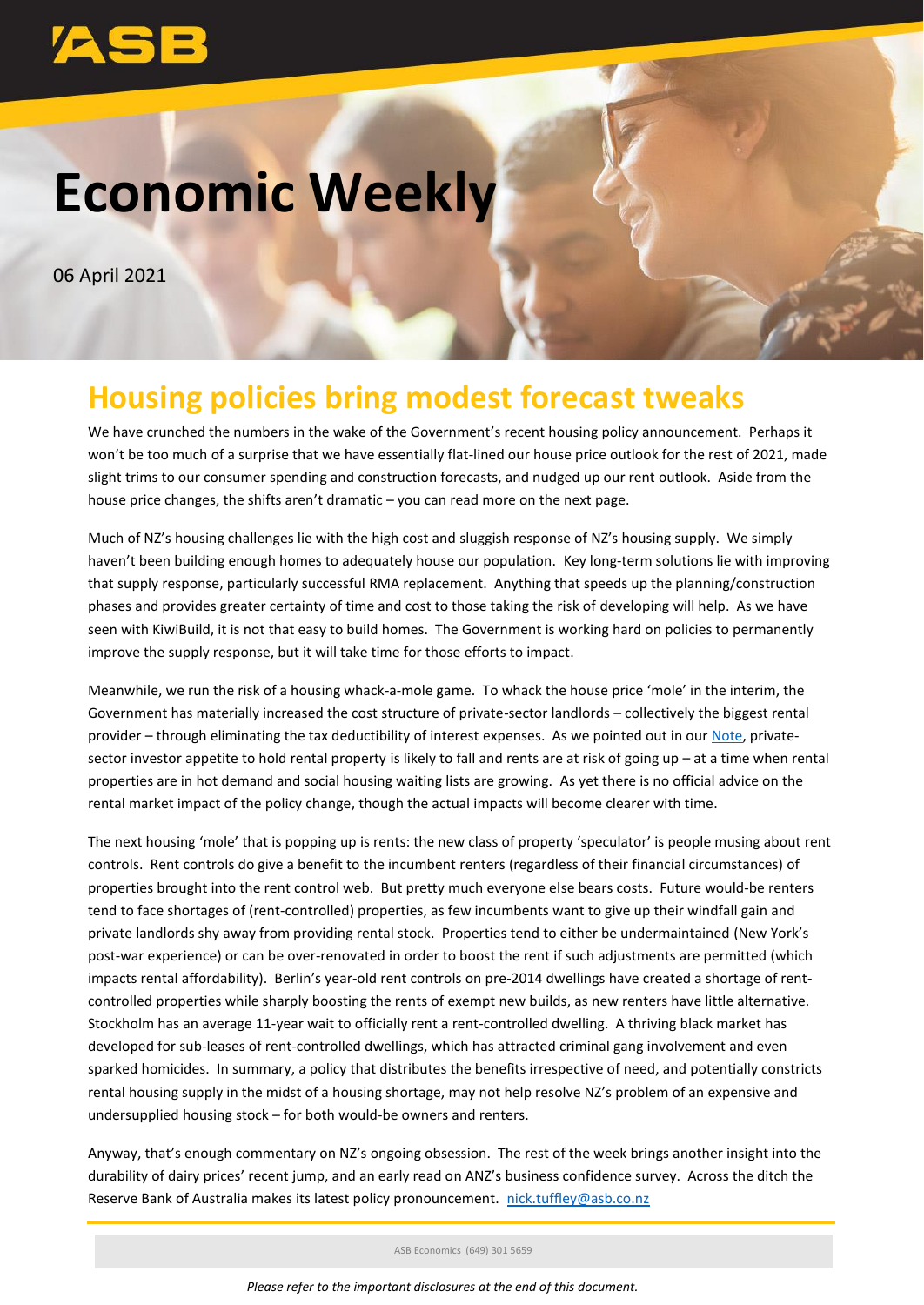# **Economic Weekly**

06 April 2021

## **Housing policies bring modest forecast tweaks**

We have crunched the numbers in the wake of the Government's recent housing policy announcement. Perhaps it won't be too much of a surprise that we have essentially flat-lined our house price outlook for the rest of 2021, made slight trims to our consumer spending and construction forecasts, and nudged up our rent outlook. Aside from the house price changes, the shifts aren't dramatic – you can read more on the next page.

Much of NZ's housing challenges lie with the high cost and sluggish response of NZ's housing supply. We simply haven't been building enough homes to adequately house our population. Key long-term solutions lie with improving that supply response, particularly successful RMA replacement. Anything that speeds up the planning/construction phases and provides greater certainty of time and cost to those taking the risk of developing will help. As we have seen with KiwiBuild, it is not that easy to build homes. The Government is working hard on policies to permanently improve the supply response, but it will take time for those efforts to impact.

Meanwhile, we run the risk of a housing whack-a-mole game. To whack the house price 'mole' in the interim, the Government has materially increased the cost structure of private-sector landlords – collectively the biggest rental provider – through eliminating the tax deductibility of interest expenses. As we pointed out in ou[r Note,](https://www.asb.co.nz/content/dam/asb/documents/reports/economic-note/housing-policies-mar-2021.pdf) privatesector investor appetite to hold rental property is likely to fall and rents are at risk of going up – at a time when rental properties are in hot demand and social housing waiting lists are growing. As yet there is no official advice on the rental market impact of the policy change, though the actual impacts will become clearer with time.

The next housing 'mole' that is popping up is rents: the new class of property 'speculator' is people musing about rent controls. Rent controls do give a benefit to the incumbent renters (regardless of their financial circumstances) of properties brought into the rent control web. But pretty much everyone else bears costs. Future would-be renters tend to face shortages of (rent-controlled) properties, as few incumbents want to give up their windfall gain and private landlords shy away from providing rental stock. Properties tend to either be undermaintained (New York's post-war experience) or can be over-renovated in order to boost the rent if such adjustments are permitted (which impacts rental affordability). Berlin's year-old rent controls on pre-2014 dwellings have created a shortage of rentcontrolled properties while sharply boosting the rents of exempt new builds, as new renters have little alternative. Stockholm has an average 11-year wait to officially rent a rent-controlled dwelling. A thriving black market has developed for sub-leases of rent-controlled dwellings, which has attracted criminal gang involvement and even sparked homicides. In summary, a policy that distributes the benefits irrespective of need, and potentially constricts rental housing supply in the midst of a housing shortage, may not help resolve NZ's problem of an expensive and undersupplied housing stock – for both would-be owners and renters.

Anyway, that's enough commentary on NZ's ongoing obsession. The rest of the week brings another insight into the durability of dairy prices' recent jump, and an early read on ANZ's business confidence survey. Across the ditch the Reserve Bank of Australia makes its latest policy pronouncement. [nick.tuffley@asb.co.nz](mailto:nick.tuffley@asb.co.nz)

ASB Economics (649) 301 5659

*Please refer to the important disclosures at the end of this document.*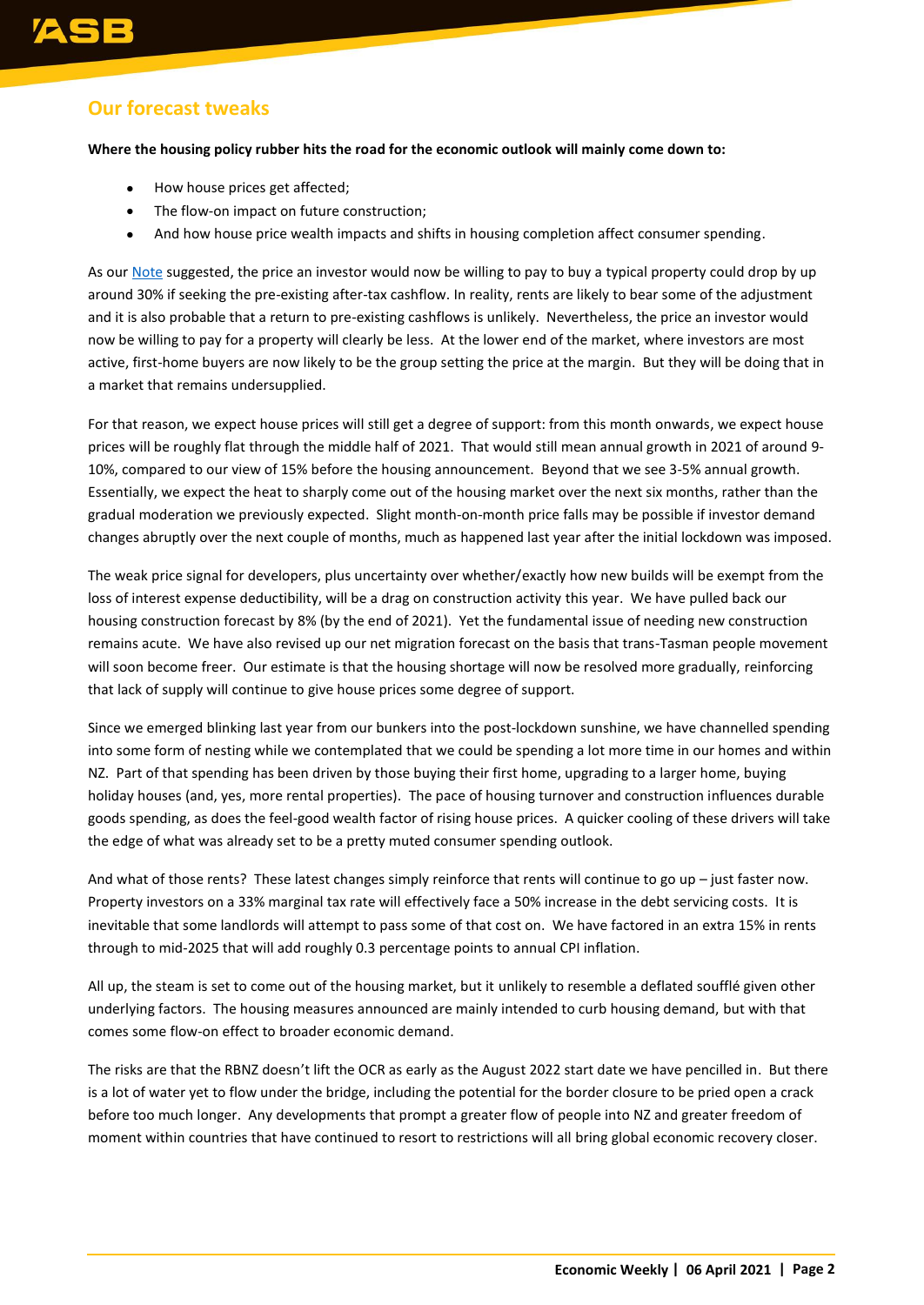### **Our forecast tweaks**

**Where the housing policy rubber hits the road for the economic outlook will mainly come down to:**

- How house prices get affected;
- The flow-on impact on future construction;
- And how house price wealth impacts and shifts in housing completion affect consumer spending.

As our [Note](https://www.asb.co.nz/content/dam/asb/documents/reports/economic-note/housing-policies-mar-2021.pdf) suggested, the price an investor would now be willing to pay to buy a typical property could drop by up around 30% if seeking the pre-existing after-tax cashflow. In reality, rents are likely to bear some of the adjustment and it is also probable that a return to pre-existing cashflows is unlikely. Nevertheless, the price an investor would now be willing to pay for a property will clearly be less. At the lower end of the market, where investors are most active, first-home buyers are now likely to be the group setting the price at the margin. But they will be doing that in a market that remains undersupplied.

For that reason, we expect house prices will still get a degree of support: from this month onwards, we expect house prices will be roughly flat through the middle half of 2021. That would still mean annual growth in 2021 of around 9- 10%, compared to our view of 15% before the housing announcement. Beyond that we see 3-5% annual growth. Essentially, we expect the heat to sharply come out of the housing market over the next six months, rather than the gradual moderation we previously expected. Slight month-on-month price falls may be possible if investor demand changes abruptly over the next couple of months, much as happened last year after the initial lockdown was imposed.

The weak price signal for developers, plus uncertainty over whether/exactly how new builds will be exempt from the loss of interest expense deductibility, will be a drag on construction activity this year. We have pulled back our housing construction forecast by 8% (by the end of 2021). Yet the fundamental issue of needing new construction remains acute. We have also revised up our net migration forecast on the basis that trans-Tasman people movement will soon become freer. Our estimate is that the housing shortage will now be resolved more gradually, reinforcing that lack of supply will continue to give house prices some degree of support.

Since we emerged blinking last year from our bunkers into the post-lockdown sunshine, we have channelled spending into some form of nesting while we contemplated that we could be spending a lot more time in our homes and within NZ. Part of that spending has been driven by those buying their first home, upgrading to a larger home, buying holiday houses (and, yes, more rental properties). The pace of housing turnover and construction influences durable goods spending, as does the feel-good wealth factor of rising house prices. A quicker cooling of these drivers will take the edge of what was already set to be a pretty muted consumer spending outlook.

And what of those rents? These latest changes simply reinforce that rents will continue to go up – just faster now. Property investors on a 33% marginal tax rate will effectively face a 50% increase in the debt servicing costs. It is inevitable that some landlords will attempt to pass some of that cost on. We have factored in an extra 15% in rents through to mid-2025 that will add roughly 0.3 percentage points to annual CPI inflation.

All up, the steam is set to come out of the housing market, but it unlikely to resemble a deflated soufflé given other underlying factors. The housing measures announced are mainly intended to curb housing demand, but with that comes some flow-on effect to broader economic demand.

The risks are that the RBNZ doesn't lift the OCR as early as the August 2022 start date we have pencilled in. But there is a lot of water yet to flow under the bridge, including the potential for the border closure to be pried open a crack before too much longer. Any developments that prompt a greater flow of people into NZ and greater freedom of moment within countries that have continued to resort to restrictions will all bring global economic recovery closer.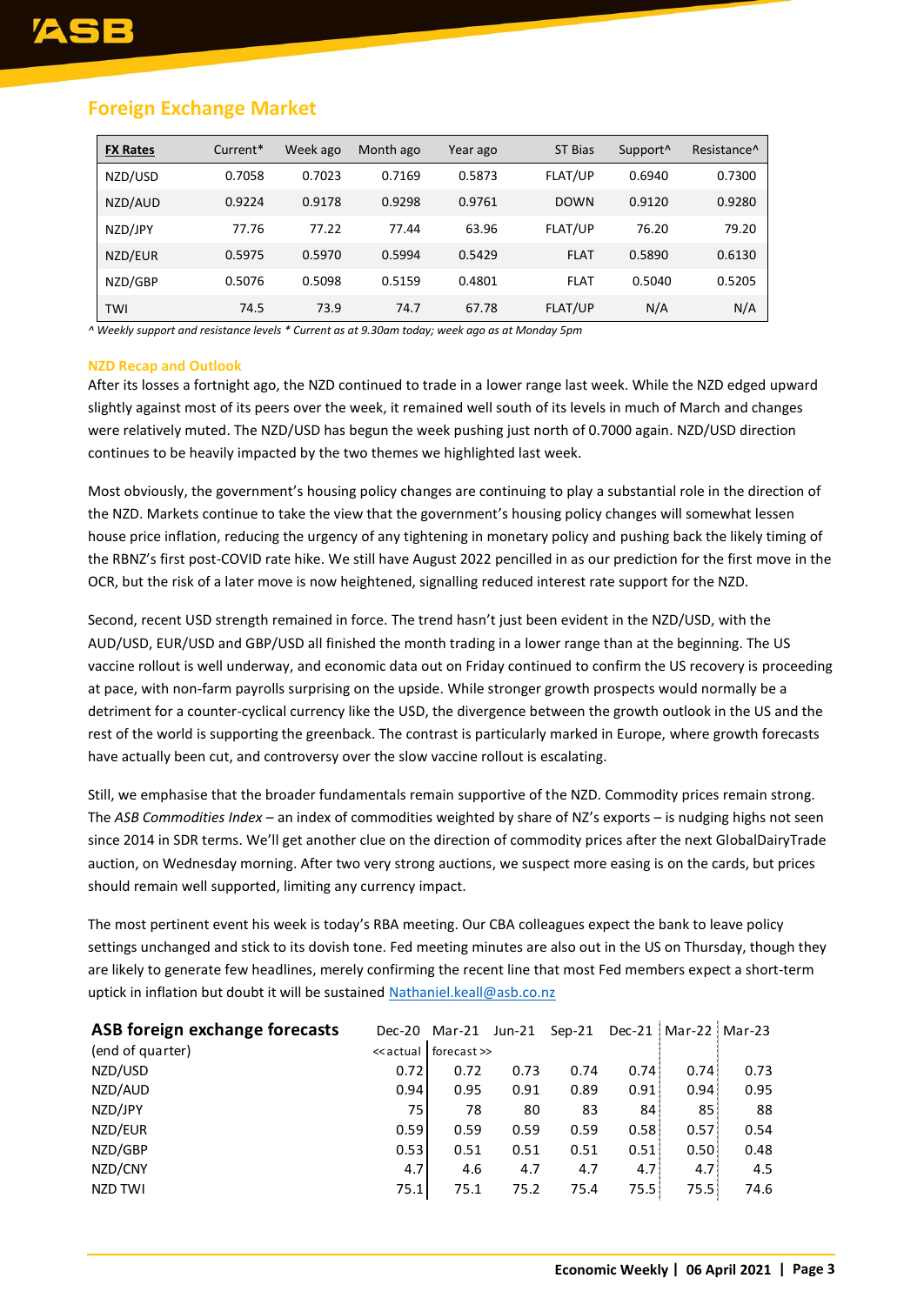#### **Foreign Exchange Market**

| <b>FX Rates</b> | Current* | Week ago | Month ago | Year ago | ST Bias        | Support <sup>^</sup> | Resistance <sup>^</sup> |
|-----------------|----------|----------|-----------|----------|----------------|----------------------|-------------------------|
| NZD/USD         | 0.7058   | 0.7023   | 0.7169    | 0.5873   | <b>FLAT/UP</b> | 0.6940               | 0.7300                  |
| NZD/AUD         | 0.9224   | 0.9178   | 0.9298    | 0.9761   | <b>DOWN</b>    | 0.9120               | 0.9280                  |
| NZD/JPY         | 77.76    | 77.22    | 77.44     | 63.96    | FLAT/UP        | 76.20                | 79.20                   |
| NZD/EUR         | 0.5975   | 0.5970   | 0.5994    | 0.5429   | <b>FLAT</b>    | 0.5890               | 0.6130                  |
| NZD/GBP         | 0.5076   | 0.5098   | 0.5159    | 0.4801   | <b>FLAT</b>    | 0.5040               | 0.5205                  |
| TWI             | 74.5     | 73.9     | 74.7      | 67.78    | FLAT/UP        | N/A                  | N/A                     |

*^ Weekly support and resistance levels \* Current as at 9.30am today; week ago as at Monday 5pm*

#### **NZD Recap and Outlook**

After its losses a fortnight ago, the NZD continued to trade in a lower range last week. While the NZD edged upward slightly against most of its peers over the week, it remained well south of its levels in much of March and changes were relatively muted. The NZD/USD has begun the week pushing just north of 0.7000 again. NZD/USD direction continues to be heavily impacted by the two themes we highlighted last week.

Most obviously, the government's housing policy changes are continuing to play a substantial role in the direction of the NZD. Markets continue to take the view that the government's housing policy changes will somewhat lessen house price inflation, reducing the urgency of any tightening in monetary policy and pushing back the likely timing of the RBNZ's first post-COVID rate hike. We still have August 2022 pencilled in as our prediction for the first move in the OCR, but the risk of a later move is now heightened, signalling reduced interest rate support for the NZD.

Second, recent USD strength remained in force. The trend hasn't just been evident in the NZD/USD, with the AUD/USD, EUR/USD and GBP/USD all finished the month trading in a lower range than at the beginning. The US vaccine rollout is well underway, and economic data out on Friday continued to confirm the US recovery is proceeding at pace, with non-farm payrolls surprising on the upside. While stronger growth prospects would normally be a detriment for a counter-cyclical currency like the USD, the divergence between the growth outlook in the US and the rest of the world is supporting the greenback. The contrast is particularly marked in Europe, where growth forecasts have actually been cut, and controversy over the slow vaccine rollout is escalating.

Still, we emphasise that the broader fundamentals remain supportive of the NZD. Commodity prices remain strong. The *ASB Commodities Index* – an index of commodities weighted by share of NZ's exports – is nudging highs not seen since 2014 in SDR terms. We'll get another clue on the direction of commodity prices after the next GlobalDairyTrade auction, on Wednesday morning. After two very strong auctions, we suspect more easing is on the cards, but prices should remain well supported, limiting any currency impact.

The most pertinent event his week is today's RBA meeting. Our CBA colleagues expect the bank to leave policy settings unchanged and stick to its dovish tone. Fed meeting minutes are also out in the US on Thursday, though they are likely to generate few headlines, merely confirming the recent line that most Fed members expect a short-term uptick in inflation but doubt it will be sustained [Nathaniel.keall@asb.co.nz](mailto:Nathaniel.keall@asb.co.nz)

| ASB foreign exchange forecasts |                                                                                                    | Dec-20 Mar-21 |      | Jun-21 Sep-21 Dec-21: Mar-22: Mar-23 |       |       |      |
|--------------------------------|----------------------------------------------------------------------------------------------------|---------------|------|--------------------------------------|-------|-------|------|
| (end of quarter)               | < <actual< td=""><td>forecast &gt;&gt;</td><td></td><td></td><td></td><td></td><td></td></actual<> | forecast >>   |      |                                      |       |       |      |
| NZD/USD                        | 0.72                                                                                               | 0.72          | 0.73 | 0.74                                 | 0.74: | 0.74: | 0.73 |
| NZD/AUD                        | 0.94                                                                                               | 0.95          | 0.91 | 0.89                                 | 0.91: | 0.94: | 0.95 |
| NZD/JPY                        | 75                                                                                                 | 78            | 80   | 83                                   | 84:   | 85:   | 88   |
| NZD/EUR                        | 0.59                                                                                               | 0.59          | 0.59 | 0.59                                 | 0.58: | 0.57: | 0.54 |
| NZD/GBP                        | 0.53                                                                                               | 0.51          | 0.51 | 0.51                                 | 0.51: | 0.50: | 0.48 |
| NZD/CNY                        | 4.7                                                                                                | 4.6           | 4.7  | 4.7                                  | 4.7:  | 4.7:  | 4.5  |
| <b>NZD TWI</b>                 | 75.1                                                                                               | 75.1          | 75.2 | 75.4                                 | 75.5: | 75.5: | 74.6 |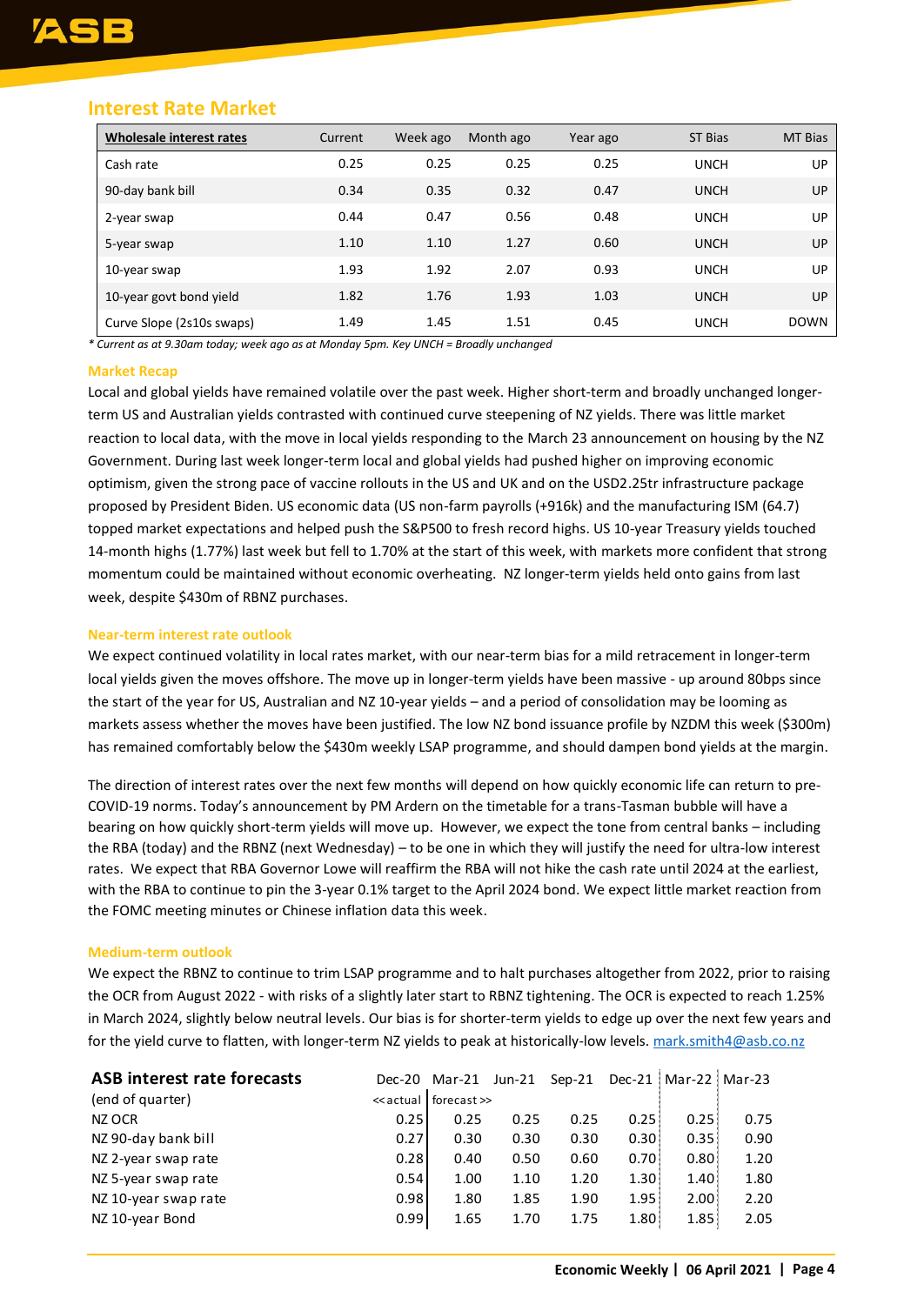#### **Interest Rate Market**

| Wholesale interest rates  | Current | Week ago | Month ago | Year ago | <b>ST Bias</b> | <b>MT Bias</b> |
|---------------------------|---------|----------|-----------|----------|----------------|----------------|
| Cash rate                 | 0.25    | 0.25     | 0.25      | 0.25     | <b>UNCH</b>    | UP.            |
| 90-day bank bill          | 0.34    | 0.35     | 0.32      | 0.47     | <b>UNCH</b>    | UP.            |
| 2-year swap               | 0.44    | 0.47     | 0.56      | 0.48     | <b>UNCH</b>    | UP.            |
| 5-year swap               | 1.10    | 1.10     | 1.27      | 0.60     | <b>UNCH</b>    | UP             |
| 10-year swap              | 1.93    | 1.92     | 2.07      | 0.93     | <b>UNCH</b>    | UP.            |
| 10-year govt bond yield   | 1.82    | 1.76     | 1.93      | 1.03     | <b>UNCH</b>    | UP.            |
| Curve Slope (2s10s swaps) | 1.49    | 1.45     | 1.51      | 0.45     | <b>UNCH</b>    | <b>DOWN</b>    |

*\* Current as at 9.30am today; week ago as at Monday 5pm. Key UNCH = Broadly unchanged*

#### **Market Recap**

Local and global yields have remained volatile over the past week. Higher short-term and broadly unchanged longerterm US and Australian yields contrasted with continued curve steepening of NZ yields. There was little market reaction to local data, with the move in local yields responding to the March 23 announcement on housing by the NZ Government. During last week longer-term local and global yields had pushed higher on improving economic optimism, given the strong pace of vaccine rollouts in the US and UK and on the USD2.25tr infrastructure package proposed by President Biden. US economic data (US non-farm payrolls (+916k) and the manufacturing ISM (64.7) topped market expectations and helped push the S&P500 to fresh record highs. US 10-year Treasury yields touched 14-month highs (1.77%) last week but fell to 1.70% at the start of this week, with markets more confident that strong momentum could be maintained without economic overheating. NZ longer-term yields held onto gains from last week, despite \$430m of RBNZ purchases.

#### **Near-term interest rate outlook**

We expect continued volatility in local rates market, with our near-term bias for a mild retracement in longer-term local yields given the moves offshore. The move up in longer-term yields have been massive - up around 80bps since the start of the year for US, Australian and NZ 10-year yields – and a period of consolidation may be looming as markets assess whether the moves have been justified. The low NZ bond issuance profile by NZDM this week (\$300m) has remained comfortably below the \$430m weekly LSAP programme, and should dampen bond yields at the margin.

The direction of interest rates over the next few months will depend on how quickly economic life can return to pre-COVID-19 norms. Today's announcement by PM Ardern on the timetable for a trans-Tasman bubble will have a bearing on how quickly short-term yields will move up. However, we expect the tone from central banks – including the RBA (today) and the RBNZ (next Wednesday) – to be one in which they will justify the need for ultra-low interest rates. We expect that RBA Governor Lowe will reaffirm the RBA will not hike the cash rate until 2024 at the earliest, with the RBA to continue to pin the 3-year 0.1% target to the April 2024 bond. We expect little market reaction from the FOMC meeting minutes or Chinese inflation data this week.

#### **Medium-term outlook**

We expect the RBNZ to continue to trim LSAP programme and to halt purchases altogether from 2022, prior to raising the OCR from August 2022 - with risks of a slightly later start to RBNZ tightening. The OCR is expected to reach 1.25% in March 2024, slightly below neutral levels. Our bias is for shorter-term yields to edge up over the next few years and for the yield curve to flatten, with longer-term NZ yields to peak at historically-low levels. [mark.smith4@asb.co.nz](mailto:mark.smith4@asb.co.nz)

| ASB interest rate forecasts | Dec-20                                                                                    | Mar-21   | Jun-21 |      |       | Sep-21 Dec-21: Mar-22: Mar-23 |      |
|-----------------------------|-------------------------------------------------------------------------------------------|----------|--------|------|-------|-------------------------------|------|
| (end of quarter)            | < <actual< td=""><td>forecast</td><td></td><td></td><td></td><td></td><td></td></actual<> | forecast |        |      |       |                               |      |
| NZ OCR                      | 0.25                                                                                      | 0.25     | 0.25   | 0.25 | 0.25: | 0.25:                         | 0.75 |
| NZ 90-day bank bill         | 0.27                                                                                      | 0.30     | 0.30   | 0.30 | 0.30: | 0.35:                         | 0.90 |
| NZ 2-year swap rate         | 0.28                                                                                      | 0.40     | 0.50   | 0.60 | 0.70: | 0.80:                         | 1.20 |
| NZ 5-year swap rate         | 0.54                                                                                      | 1.00     | 1.10   | 1.20 | 1.30: | 1.40:                         | 1.80 |
| NZ 10-year swap rate        | 0.98                                                                                      | 1.80     | 1.85   | 1.90 | 1.95: | 2.00:                         | 2.20 |
| NZ 10-year Bond             | 0.99                                                                                      | 1.65     | 1.70   | 1.75 | 1.80: | 1.85:                         | 2.05 |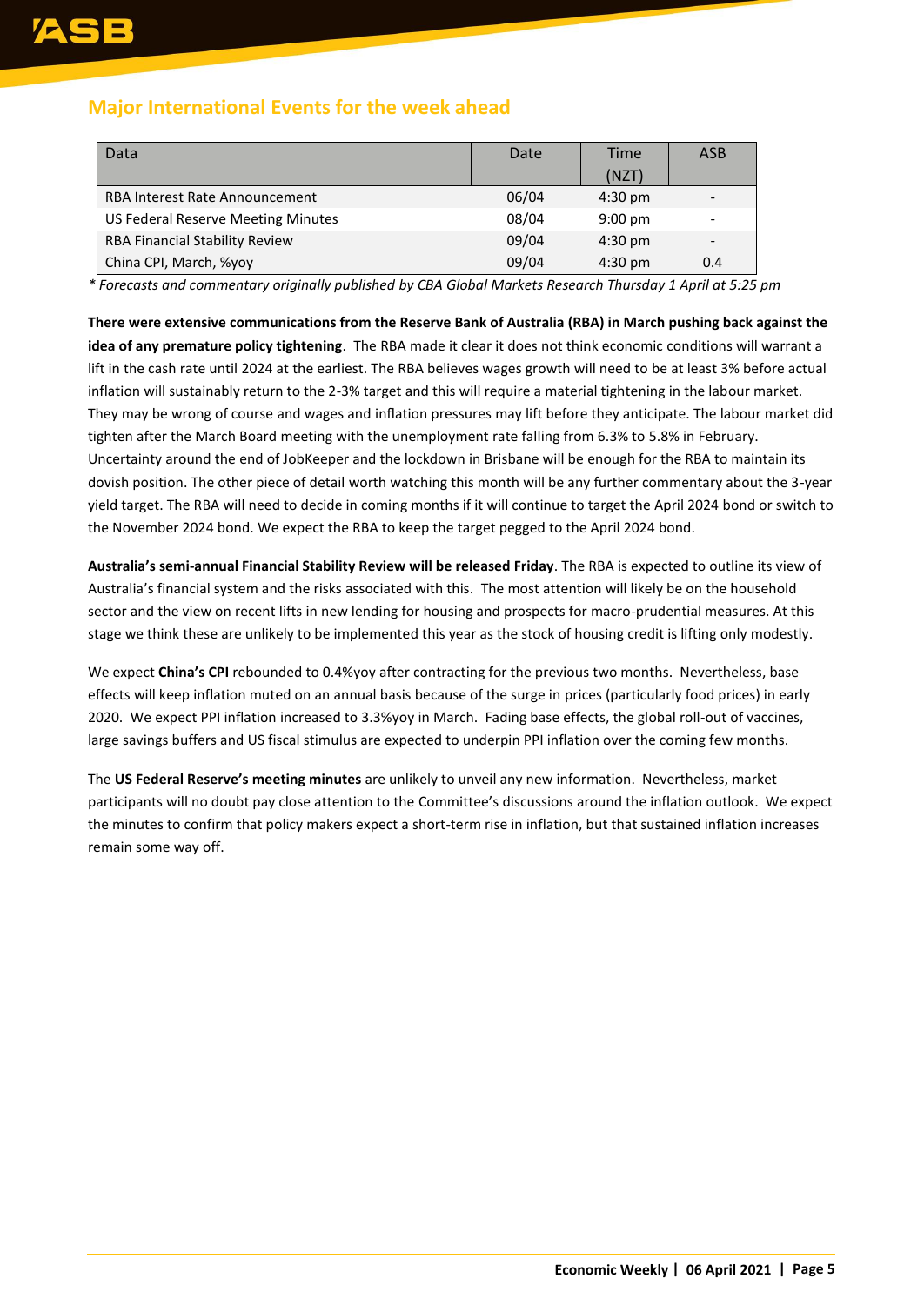#### **Major International Events for the week ahead**

| Data                                  | Date  | Time      | <b>ASB</b> |
|---------------------------------------|-------|-----------|------------|
|                                       |       | (NZT)     |            |
| RBA Interest Rate Announcement        | 06/04 | $4:30$ pm |            |
| US Federal Reserve Meeting Minutes    | 08/04 | $9:00$ pm |            |
| <b>RBA Financial Stability Review</b> | 09/04 | $4:30$ pm |            |
| China CPI, March, %yoy                | 09/04 | $4:30$ pm | 0.4        |

*\* Forecasts and commentary originally published by CBA Global Markets Research Thursday 1 April at 5:25 pm*

**There were extensive communications from the Reserve Bank of Australia (RBA) in March pushing back against the idea of any premature policy tightening**. The RBA made it clear it does not think economic conditions will warrant a lift in the cash rate until 2024 at the earliest. The RBA believes wages growth will need to be at least 3% before actual inflation will sustainably return to the 2-3% target and this will require a material tightening in the labour market. They may be wrong of course and wages and inflation pressures may lift before they anticipate. The labour market did tighten after the March Board meeting with the unemployment rate falling from 6.3% to 5.8% in February. Uncertainty around the end of JobKeeper and the lockdown in Brisbane will be enough for the RBA to maintain its dovish position. The other piece of detail worth watching this month will be any further commentary about the 3-year yield target. The RBA will need to decide in coming months if it will continue to target the April 2024 bond or switch to the November 2024 bond. We expect the RBA to keep the target pegged to the April 2024 bond.

**Australia's semi-annual Financial Stability Review will be released Friday**. The RBA is expected to outline its view of Australia's financial system and the risks associated with this. The most attention will likely be on the household sector and the view on recent lifts in new lending for housing and prospects for macro-prudential measures. At this stage we think these are unlikely to be implemented this year as the stock of housing credit is lifting only modestly.

We expect **China's CPI** rebounded to 0.4%yoy after contracting for the previous two months. Nevertheless, base effects will keep inflation muted on an annual basis because of the surge in prices (particularly food prices) in early 2020. We expect PPI inflation increased to 3.3%yoy in March. Fading base effects, the global roll-out of vaccines, large savings buffers and US fiscal stimulus are expected to underpin PPI inflation over the coming few months.

The **US Federal Reserve's meeting minutes** are unlikely to unveil any new information. Nevertheless, market participants will no doubt pay close attention to the Committee's discussions around the inflation outlook. We expect the minutes to confirm that policy makers expect a short-term rise in inflation, but that sustained inflation increases remain some way off.